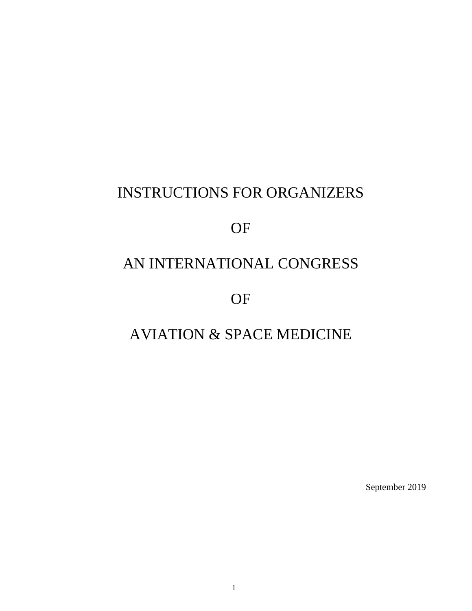# INSTRUCTIONS FOR ORGANIZERS

## OF

# AN INTERNATIONAL CONGRESS

OF

# AVIATION & SPACE MEDICINE

September 2019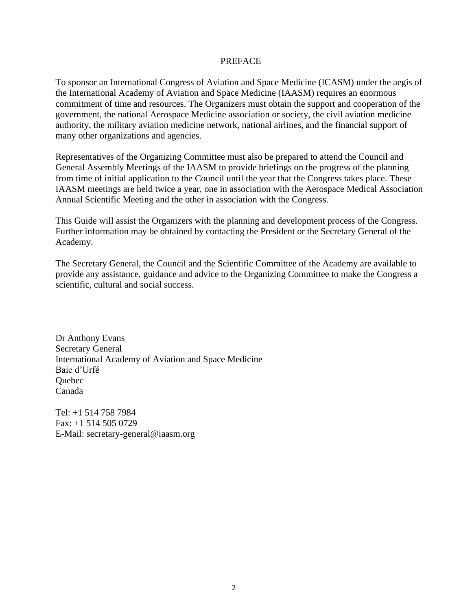#### PREFACE

To sponsor an International Congress of Aviation and Space Medicine (ICASM) under the aegis of the International Academy of Aviation and Space Medicine (IAASM) requires an enormous commitment of time and resources. The Organizers must obtain the support and cooperation of the government, the national Aerospace Medicine association or society, the civil aviation medicine authority, the military aviation medicine network, national airlines, and the financial support of many other organizations and agencies.

Representatives of the Organizing Committee must also be prepared to attend the Council and General Assembly Meetings of the IAASM to provide briefings on the progress of the planning from time of initial application to the Council until the year that the Congress takes place. These IAASM meetings are held twice a year, one in association with the Aerospace Medical Association Annual Scientific Meeting and the other in association with the Congress.

This Guide will assist the Organizers with the planning and development process of the Congress. Further information may be obtained by contacting the President or the Secretary General of the Academy.

The Secretary General, the Council and the Scientific Committee of the Academy are available to provide any assistance, guidance and advice to the Organizing Committee to make the Congress a scientific, cultural and social success.

Dr Anthony Evans Secretary General International Academy of Aviation and Space Medicine Baie d'Urfé **Ouebec** Canada

Tel: +1 514 758 7984 Fax: +1 514 505 0729 E-Mail: secretary-general@iaasm.org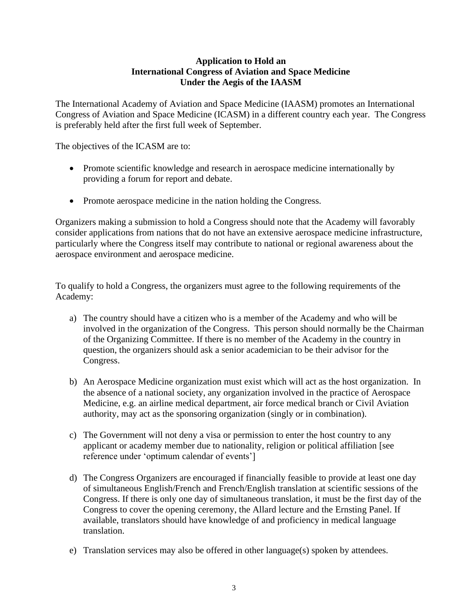## **Application to Hold an International Congress of Aviation and Space Medicine Under the Aegis of the IAASM**

The International Academy of Aviation and Space Medicine (IAASM) promotes an International Congress of Aviation and Space Medicine (ICASM) in a different country each year. The Congress is preferably held after the first full week of September.

The objectives of the ICASM are to:

- Promote scientific knowledge and research in aerospace medicine internationally by providing a forum for report and debate.
- Promote aerospace medicine in the nation holding the Congress.

Organizers making a submission to hold a Congress should note that the Academy will favorably consider applications from nations that do not have an extensive aerospace medicine infrastructure, particularly where the Congress itself may contribute to national or regional awareness about the aerospace environment and aerospace medicine.

To qualify to hold a Congress, the organizers must agree to the following requirements of the Academy:

- a) The country should have a citizen who is a member of the Academy and who will be involved in the organization of the Congress. This person should normally be the Chairman of the Organizing Committee. If there is no member of the Academy in the country in question, the organizers should ask a senior academician to be their advisor for the Congress.
- b) An Aerospace Medicine organization must exist which will act as the host organization. In the absence of a national society, any organization involved in the practice of Aerospace Medicine, e.g. an airline medical department, air force medical branch or Civil Aviation authority, may act as the sponsoring organization (singly or in combination).
- c) The Government will not deny a visa or permission to enter the host country to any applicant or academy member due to nationality, religion or political affiliation [see reference under 'optimum calendar of events']
- d) The Congress Organizers are encouraged if financially feasible to provide at least one day of simultaneous English/French and French/English translation at scientific sessions of the Congress. If there is only one day of simultaneous translation, it must be the first day of the Congress to cover the opening ceremony, the Allard lecture and the Ernsting Panel. If available, translators should have knowledge of and proficiency in medical language translation.
- e) Translation services may also be offered in other language(s) spoken by attendees.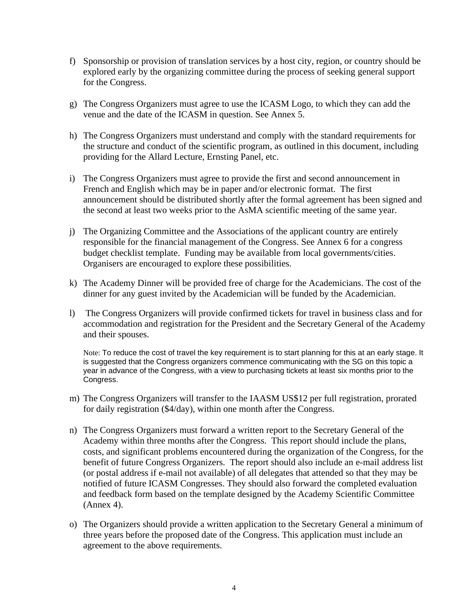- f) Sponsorship or provision of translation services by a host city, region, or country should be explored early by the organizing committee during the process of seeking general support for the Congress.
- g) The Congress Organizers must agree to use the ICASM Logo, to which they can add the venue and the date of the ICASM in question. See Annex 5.
- h) The Congress Organizers must understand and comply with the standard requirements for the structure and conduct of the scientific program, as outlined in this document, including providing for the Allard Lecture, Ernsting Panel, etc.
- i) The Congress Organizers must agree to provide the first and second announcement in French and English which may be in paper and/or electronic format. The first announcement should be distributed shortly after the formal agreement has been signed and the second at least two weeks prior to the AsMA scientific meeting of the same year.
- j) The Organizing Committee and the Associations of the applicant country are entirely responsible for the financial management of the Congress. See Annex 6 for a congress budget checklist template. Funding may be available from local governments/cities. Organisers are encouraged to explore these possibilities.
- k) The Academy Dinner will be provided free of charge for the Academicians. The cost of the dinner for any guest invited by the Academician will be funded by the Academician.
- l) The Congress Organizers will provide confirmed tickets for travel in business class and for accommodation and registration for the President and the Secretary General of the Academy and their spouses.

Note: To reduce the cost of travel the key requirement is to start planning for this at an early stage. It is suggested that the Congress organizers commence communicating with the SG on this topic a year in advance of the Congress, with a view to purchasing tickets at least six months prior to the Congress.

- m) The Congress Organizers will transfer to the IAASM US\$12 per full registration, prorated for daily registration (\$4/day), within one month after the Congress.
- n) The Congress Organizers must forward a written report to the Secretary General of the Academy within three months after the Congress. This report should include the plans, costs, and significant problems encountered during the organization of the Congress, for the benefit of future Congress Organizers. The report should also include an e-mail address list (or postal address if e-mail not available) of all delegates that attended so that they may be notified of future ICASM Congresses. They should also forward the completed evaluation and feedback form based on the template designed by the Academy Scientific Committee (Annex 4).
- o) The Organizers should provide a written application to the Secretary General a minimum of three years before the proposed date of the Congress. This application must include an agreement to the above requirements.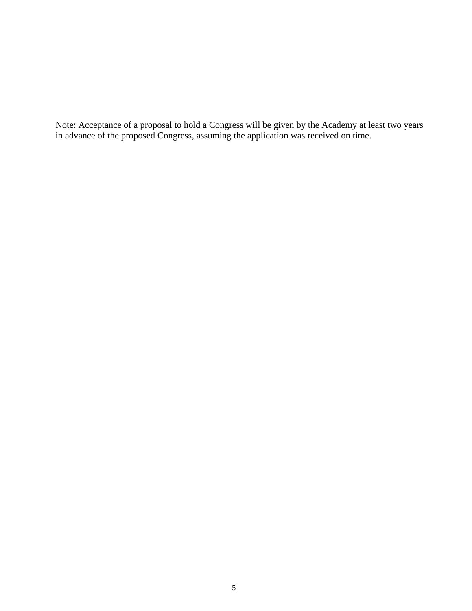Note: Acceptance of a proposal to hold a Congress will be given by the Academy at least two years in advance of the proposed Congress, assuming the application was received on time.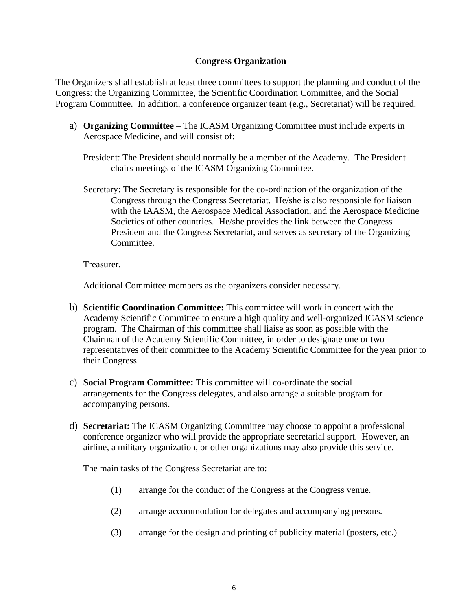## **Congress Organization**

The Organizers shall establish at least three committees to support the planning and conduct of the Congress: the Organizing Committee, the Scientific Coordination Committee, and the Social Program Committee. In addition, a conference organizer team (e.g., Secretariat) will be required.

- a) **Organizing Committee** The ICASM Organizing Committee must include experts in Aerospace Medicine, and will consist of:
	- President: The President should normally be a member of the Academy. The President chairs meetings of the ICASM Organizing Committee.
	- Secretary: The Secretary is responsible for the co-ordination of the organization of the Congress through the Congress Secretariat. He/she is also responsible for liaison with the IAASM, the Aerospace Medical Association, and the Aerospace Medicine Societies of other countries. He/she provides the link between the Congress President and the Congress Secretariat, and serves as secretary of the Organizing Committee.

Treasurer.

Additional Committee members as the organizers consider necessary.

- b) **Scientific Coordination Committee:** This committee will work in concert with the Academy Scientific Committee to ensure a high quality and well-organized ICASM science program. The Chairman of this committee shall liaise as soon as possible with the Chairman of the Academy Scientific Committee, in order to designate one or two representatives of their committee to the Academy Scientific Committee for the year prior to their Congress.
- c) **Social Program Committee:** This committee will co-ordinate the social arrangements for the Congress delegates, and also arrange a suitable program for accompanying persons.
- d) **Secretariat:** The ICASM Organizing Committee may choose to appoint a professional conference organizer who will provide the appropriate secretarial support. However, an airline, a military organization, or other organizations may also provide this service.

The main tasks of the Congress Secretariat are to:

- (1) arrange for the conduct of the Congress at the Congress venue.
- (2) arrange accommodation for delegates and accompanying persons.
- (3) arrange for the design and printing of publicity material (posters, etc.)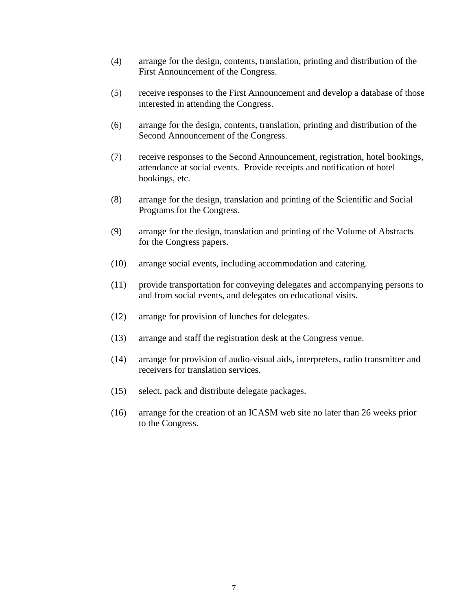- (4) arrange for the design, contents, translation, printing and distribution of the First Announcement of the Congress.
- (5) receive responses to the First Announcement and develop a database of those interested in attending the Congress.
- (6) arrange for the design, contents, translation, printing and distribution of the Second Announcement of the Congress.
- (7) receive responses to the Second Announcement, registration, hotel bookings, attendance at social events. Provide receipts and notification of hotel bookings, etc.
- (8) arrange for the design, translation and printing of the Scientific and Social Programs for the Congress.
- (9) arrange for the design, translation and printing of the Volume of Abstracts for the Congress papers.
- (10) arrange social events, including accommodation and catering.
- (11) provide transportation for conveying delegates and accompanying persons to and from social events, and delegates on educational visits.
- (12) arrange for provision of lunches for delegates.
- (13) arrange and staff the registration desk at the Congress venue.
- (14) arrange for provision of audio-visual aids, interpreters, radio transmitter and receivers for translation services.
- (15) select, pack and distribute delegate packages.
- (16) arrange for the creation of an ICASM web site no later than 26 weeks prior to the Congress.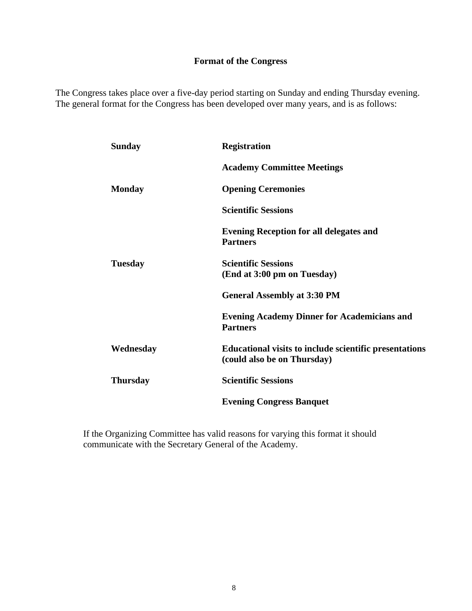## **Format of the Congress**

The Congress takes place over a five-day period starting on Sunday and ending Thursday evening. The general format for the Congress has been developed over many years, and is as follows:

| <b>Sunday</b>   | <b>Registration</b>                                                                          |
|-----------------|----------------------------------------------------------------------------------------------|
|                 | <b>Academy Committee Meetings</b>                                                            |
| <b>Monday</b>   | <b>Opening Ceremonies</b>                                                                    |
|                 | <b>Scientific Sessions</b>                                                                   |
|                 | <b>Evening Reception for all delegates and</b><br><b>Partners</b>                            |
| <b>Tuesday</b>  | <b>Scientific Sessions</b><br>(End at 3:00 pm on Tuesday)                                    |
|                 | <b>General Assembly at 3:30 PM</b>                                                           |
|                 | <b>Evening Academy Dinner for Academicians and</b><br><b>Partners</b>                        |
| Wednesday       | <b>Educational visits to include scientific presentations</b><br>(could also be on Thursday) |
| <b>Thursday</b> | <b>Scientific Sessions</b>                                                                   |
|                 | <b>Evening Congress Banquet</b>                                                              |

If the Organizing Committee has valid reasons for varying this format it should communicate with the Secretary General of the Academy.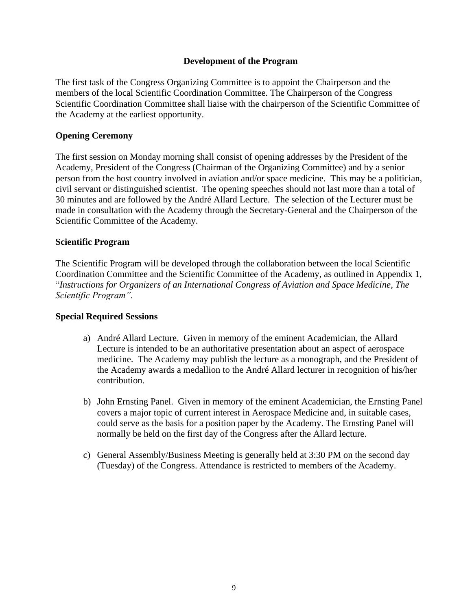## **Development of the Program**

The first task of the Congress Organizing Committee is to appoint the Chairperson and the members of the local Scientific Coordination Committee. The Chairperson of the Congress Scientific Coordination Committee shall liaise with the chairperson of the Scientific Committee of the Academy at the earliest opportunity.

## **Opening Ceremony**

The first session on Monday morning shall consist of opening addresses by the President of the Academy, President of the Congress (Chairman of the Organizing Committee) and by a senior person from the host country involved in aviation and/or space medicine. This may be a politician, civil servant or distinguished scientist. The opening speeches should not last more than a total of 30 minutes and are followed by the André Allard Lecture. The selection of the Lecturer must be made in consultation with the Academy through the Secretary-General and the Chairperson of the Scientific Committee of the Academy.

## **Scientific Program**

The Scientific Program will be developed through the collaboration between the local Scientific Coordination Committee and the Scientific Committee of the Academy, as outlined in Appendix 1, "*Instructions for Organizers of an International Congress of Aviation and Space Medicine, The Scientific Program".*

## **Special Required Sessions**

- a) André Allard Lecture. Given in memory of the eminent Academician, the Allard Lecture is intended to be an authoritative presentation about an aspect of aerospace medicine. The Academy may publish the lecture as a monograph, and the President of the Academy awards a medallion to the André Allard lecturer in recognition of his/her contribution.
- b) John Ernsting Panel. Given in memory of the eminent Academician, the Ernsting Panel covers a major topic of current interest in Aerospace Medicine and, in suitable cases, could serve as the basis for a position paper by the Academy. The Ernsting Panel will normally be held on the first day of the Congress after the Allard lecture.
- c) General Assembly/Business Meeting is generally held at 3:30 PM on the second day (Tuesday) of the Congress. Attendance is restricted to members of the Academy.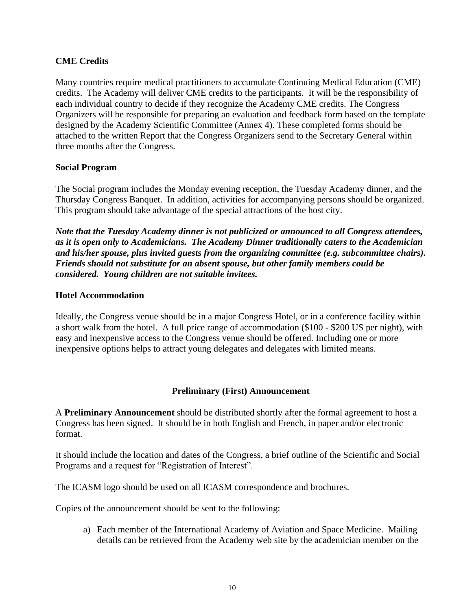## **CME Credits**

Many countries require medical practitioners to accumulate Continuing Medical Education (CME) credits. The Academy will deliver CME credits to the participants. It will be the responsibility of each individual country to decide if they recognize the Academy CME credits. The Congress Organizers will be responsible for preparing an evaluation and feedback form based on the template designed by the Academy Scientific Committee (Annex 4). These completed forms should be attached to the written Report that the Congress Organizers send to the Secretary General within three months after the Congress.

## **Social Program**

The Social program includes the Monday evening reception, the Tuesday Academy dinner, and the Thursday Congress Banquet. In addition, activities for accompanying persons should be organized. This program should take advantage of the special attractions of the host city.

*Note that the Tuesday Academy dinner is not publicized or announced to all Congress attendees, as it is open only to Academicians. The Academy Dinner traditionally caters to the Academician and his/her spouse, plus invited guests from the organizing committee (e.g. subcommittee chairs). Friends should not substitute for an absent spouse, but other family members could be considered. Young children are not suitable invitees.* 

## **Hotel Accommodation**

Ideally, the Congress venue should be in a major Congress Hotel, or in a conference facility within a short walk from the hotel. A full price range of accommodation (\$100 - \$200 US per night), with easy and inexpensive access to the Congress venue should be offered. Including one or more inexpensive options helps to attract young delegates and delegates with limited means.

## **Preliminary (First) Announcement**

A **Preliminary Announcement** should be distributed shortly after the formal agreement to host a Congress has been signed. It should be in both English and French, in paper and/or electronic format.

It should include the location and dates of the Congress, a brief outline of the Scientific and Social Programs and a request for "Registration of Interest".

The ICASM logo should be used on all ICASM correspondence and brochures.

Copies of the announcement should be sent to the following:

a) Each member of the International Academy of Aviation and Space Medicine. Mailing details can be retrieved from the Academy web site by the academician member on the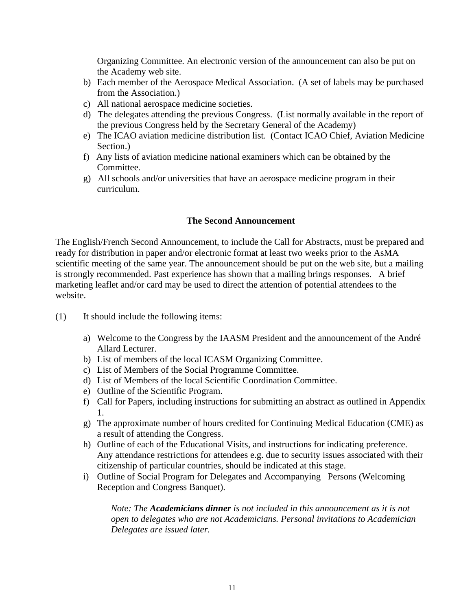Organizing Committee. An electronic version of the announcement can also be put on the Academy web site.

- b) Each member of the Aerospace Medical Association. (A set of labels may be purchased from the Association.)
- c) All national aerospace medicine societies.
- d) The delegates attending the previous Congress. (List normally available in the report of the previous Congress held by the Secretary General of the Academy)
- e) The ICAO aviation medicine distribution list. (Contact ICAO Chief, Aviation Medicine Section.)
- f) Any lists of aviation medicine national examiners which can be obtained by the Committee.
- g) All schools and/or universities that have an aerospace medicine program in their curriculum.

## **The Second Announcement**

The English/French Second Announcement, to include the Call for Abstracts, must be prepared and ready for distribution in paper and/or electronic format at least two weeks prior to the AsMA scientific meeting of the same year. The announcement should be put on the web site, but a mailing is strongly recommended. Past experience has shown that a mailing brings responses. A brief marketing leaflet and/or card may be used to direct the attention of potential attendees to the website.

- (1) It should include the following items:
	- a) Welcome to the Congress by the IAASM President and the announcement of the André Allard Lecturer.
	- b) List of members of the local ICASM Organizing Committee.
	- c) List of Members of the Social Programme Committee.
	- d) List of Members of the local Scientific Coordination Committee.
	- e) Outline of the Scientific Program.
	- f) Call for Papers, including instructions for submitting an abstract as outlined in Appendix 1.
	- g) The approximate number of hours credited for Continuing Medical Education (CME) as a result of attending the Congress.
	- h) Outline of each of the Educational Visits, and instructions for indicating preference. Any attendance restrictions for attendees e.g. due to security issues associated with their citizenship of particular countries, should be indicated at this stage.
	- i) Outline of Social Program for Delegates and Accompanying Persons (Welcoming Reception and Congress Banquet).

*Note: The Academicians dinner is not included in this announcement as it is not open to delegates who are not Academicians. Personal invitations to Academician Delegates are issued later.*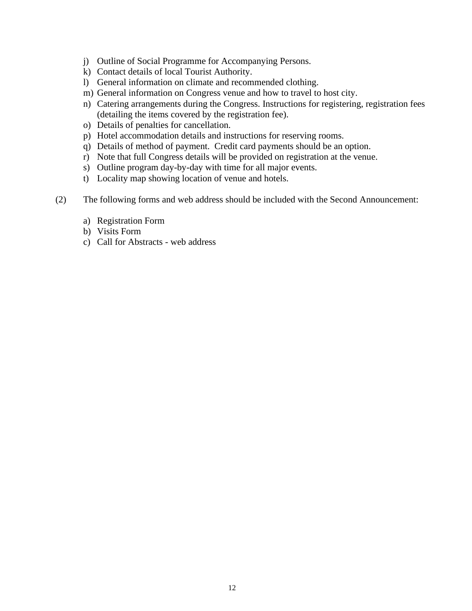- j) Outline of Social Programme for Accompanying Persons.
- k) Contact details of local Tourist Authority.
- l) General information on climate and recommended clothing.
- m) General information on Congress venue and how to travel to host city.
- n) Catering arrangements during the Congress. Instructions for registering, registration fees (detailing the items covered by the registration fee).
- o) Details of penalties for cancellation.
- p) Hotel accommodation details and instructions for reserving rooms.
- q) Details of method of payment. Credit card payments should be an option.
- r) Note that full Congress details will be provided on registration at the venue.
- s) Outline program day-by-day with time for all major events.
- t) Locality map showing location of venue and hotels.
- (2) The following forms and web address should be included with the Second Announcement:
	- a) Registration Form
	- b) Visits Form
	- c) Call for Abstracts web address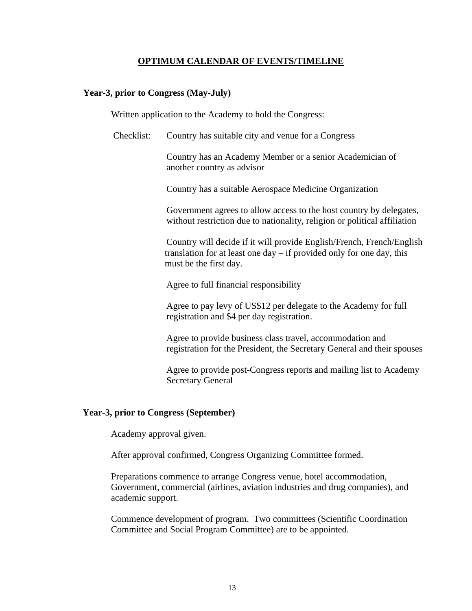#### **OPTIMUM CALENDAR OF EVENTS/TIMELINE**

#### **Year-3, prior to Congress (May-July)**

Written application to the Academy to hold the Congress:

Checklist: Country has suitable city and venue for a Congress

Country has an Academy Member or a senior Academician of another country as advisor

Country has a suitable Aerospace Medicine Organization

Government agrees to allow access to the host country by delegates, without restriction due to nationality, religion or political affiliation

Country will decide if it will provide English/French, French/English translation for at least one day – if provided only for one day, this must be the first day.

Agree to full financial responsibility

Agree to pay levy of US\$12 per delegate to the Academy for full registration and \$4 per day registration.

Agree to provide business class travel, accommodation and registration for the President, the Secretary General and their spouses

Agree to provide post-Congress reports and mailing list to Academy Secretary General

#### **Year-3, prior to Congress (September)**

Academy approval given.

After approval confirmed, Congress Organizing Committee formed.

Preparations commence to arrange Congress venue, hotel accommodation, Government, commercial (airlines, aviation industries and drug companies), and academic support.

Commence development of program. Two committees (Scientific Coordination Committee and Social Program Committee) are to be appointed.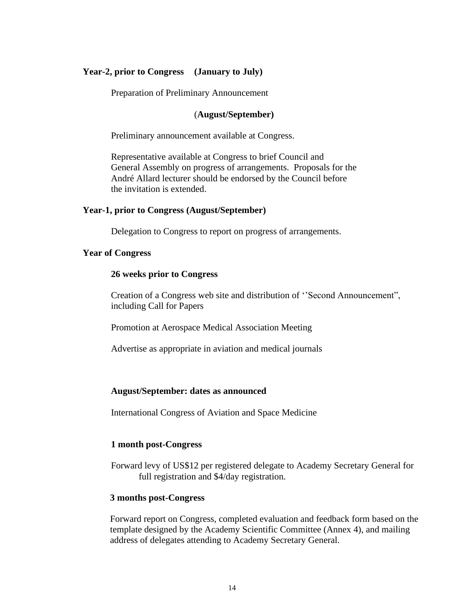#### **Year-2, prior to Congress (January to July)**

Preparation of Preliminary Announcement

#### (**August/September)**

Preliminary announcement available at Congress.

Representative available at Congress to brief Council and General Assembly on progress of arrangements. Proposals for the André Allard lecturer should be endorsed by the Council before the invitation is extended.

#### **Year-1, prior to Congress (August/September)**

Delegation to Congress to report on progress of arrangements.

#### **Year of Congress**

#### **26 weeks prior to Congress**

Creation of a Congress web site and distribution of ''Second Announcement", including Call for Papers

Promotion at Aerospace Medical Association Meeting

Advertise as appropriate in aviation and medical journals

#### **August/September: dates as announced**

International Congress of Aviation and Space Medicine

#### **1 month post-Congress**

Forward levy of US\$12 per registered delegate to Academy Secretary General for full registration and \$4/day registration.

#### **3 months post-Congress**

Forward report on Congress, completed evaluation and feedback form based on the template designed by the Academy Scientific Committee (Annex 4), and mailing address of delegates attending to Academy Secretary General.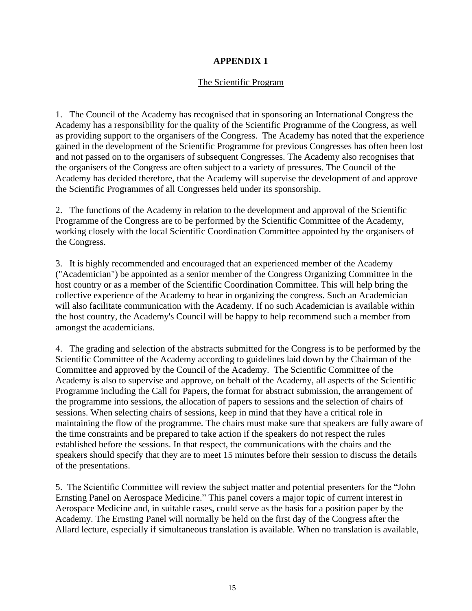## **APPENDIX 1**

## The Scientific Program

1. The Council of the Academy has recognised that in sponsoring an International Congress the Academy has a responsibility for the quality of the Scientific Programme of the Congress, as well as providing support to the organisers of the Congress. The Academy has noted that the experience gained in the development of the Scientific Programme for previous Congresses has often been lost and not passed on to the organisers of subsequent Congresses. The Academy also recognises that the organisers of the Congress are often subject to a variety of pressures. The Council of the Academy has decided therefore, that the Academy will supervise the development of and approve the Scientific Programmes of all Congresses held under its sponsorship.

2. The functions of the Academy in relation to the development and approval of the Scientific Programme of the Congress are to be performed by the Scientific Committee of the Academy, working closely with the local Scientific Coordination Committee appointed by the organisers of the Congress.

3. It is highly recommended and encouraged that an experienced member of the Academy ("Academician") be appointed as a senior member of the Congress Organizing Committee in the host country or as a member of the Scientific Coordination Committee. This will help bring the collective experience of the Academy to bear in organizing the congress. Such an Academician will also facilitate communication with the Academy. If no such Academician is available within the host country, the Academy's Council will be happy to help recommend such a member from amongst the academicians.

4. The grading and selection of the abstracts submitted for the Congress is to be performed by the Scientific Committee of the Academy according to guidelines laid down by the Chairman of the Committee and approved by the Council of the Academy. The Scientific Committee of the Academy is also to supervise and approve, on behalf of the Academy, all aspects of the Scientific Programme including the Call for Papers, the format for abstract submission, the arrangement of the programme into sessions, the allocation of papers to sessions and the selection of chairs of sessions. When selecting chairs of sessions, keep in mind that they have a critical role in maintaining the flow of the programme. The chairs must make sure that speakers are fully aware of the time constraints and be prepared to take action if the speakers do not respect the rules established before the sessions. In that respect, the communications with the chairs and the speakers should specify that they are to meet 15 minutes before their session to discuss the details of the presentations.

5. The Scientific Committee will review the subject matter and potential presenters for the "John Ernsting Panel on Aerospace Medicine." This panel covers a major topic of current interest in Aerospace Medicine and, in suitable cases, could serve as the basis for a position paper by the Academy. The Ernsting Panel will normally be held on the first day of the Congress after the Allard lecture, especially if simultaneous translation is available. When no translation is available,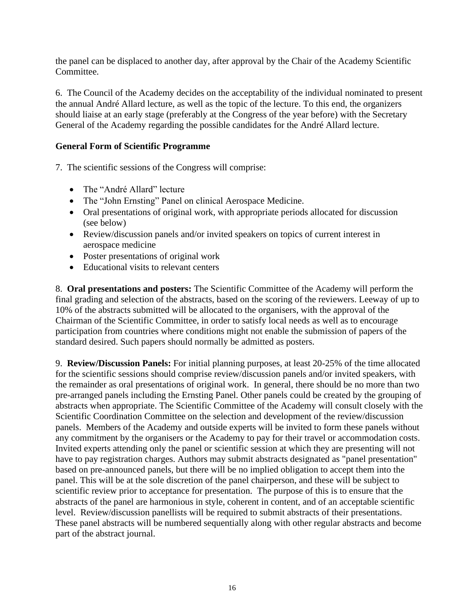the panel can be displaced to another day, after approval by the Chair of the Academy Scientific Committee.

6. The Council of the Academy decides on the acceptability of the individual nominated to present the annual André Allard lecture, as well as the topic of the lecture. To this end, the organizers should liaise at an early stage (preferably at the Congress of the year before) with the Secretary General of the Academy regarding the possible candidates for the André Allard lecture.

## **General Form of Scientific Programme**

7. The scientific sessions of the Congress will comprise:

- The "André Allard" lecture
- The "John Ernsting" Panel on clinical Aerospace Medicine.
- Oral presentations of original work, with appropriate periods allocated for discussion (see below)
- Review/discussion panels and/or invited speakers on topics of current interest in aerospace medicine
- Poster presentations of original work
- Educational visits to relevant centers

8. **Oral presentations and posters:** The Scientific Committee of the Academy will perform the final grading and selection of the abstracts, based on the scoring of the reviewers. Leeway of up to 10% of the abstracts submitted will be allocated to the organisers, with the approval of the Chairman of the Scientific Committee, in order to satisfy local needs as well as to encourage participation from countries where conditions might not enable the submission of papers of the standard desired. Such papers should normally be admitted as posters.

9. **Review/Discussion Panels:** For initial planning purposes, at least 20-25% of the time allocated for the scientific sessions should comprise review/discussion panels and/or invited speakers, with the remainder as oral presentations of original work. In general, there should be no more than two pre-arranged panels including the Ernsting Panel. Other panels could be created by the grouping of abstracts when appropriate. The Scientific Committee of the Academy will consult closely with the Scientific Coordination Committee on the selection and development of the review/discussion panels. Members of the Academy and outside experts will be invited to form these panels without any commitment by the organisers or the Academy to pay for their travel or accommodation costs. Invited experts attending only the panel or scientific session at which they are presenting will not have to pay registration charges. Authors may submit abstracts designated as "panel presentation" based on pre-announced panels, but there will be no implied obligation to accept them into the panel. This will be at the sole discretion of the panel chairperson, and these will be subject to scientific review prior to acceptance for presentation. The purpose of this is to ensure that the abstracts of the panel are harmonious in style, coherent in content, and of an acceptable scientific level. Review/discussion panellists will be required to submit abstracts of their presentations. These panel abstracts will be numbered sequentially along with other regular abstracts and become part of the abstract journal.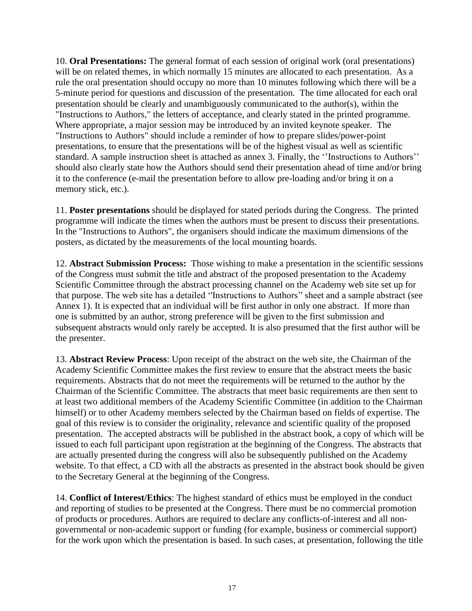10. **Oral Presentations:** The general format of each session of original work (oral presentations) will be on related themes, in which normally 15 minutes are allocated to each presentation. As a rule the oral presentation should occupy no more than 10 minutes following which there will be a 5-minute period for questions and discussion of the presentation. The time allocated for each oral presentation should be clearly and unambiguously communicated to the author(s), within the "Instructions to Authors," the letters of acceptance, and clearly stated in the printed programme. Where appropriate, a major session may be introduced by an invited keynote speaker. The "Instructions to Authors" should include a reminder of how to prepare slides/power-point presentations, to ensure that the presentations will be of the highest visual as well as scientific standard. A sample instruction sheet is attached as annex 3. Finally, the ''Instructions to Authors'' should also clearly state how the Authors should send their presentation ahead of time and/or bring it to the conference (e-mail the presentation before to allow pre-loading and/or bring it on a memory stick, etc.).

11. **Poster presentations** should be displayed for stated periods during the Congress. The printed programme will indicate the times when the authors must be present to discuss their presentations. In the "Instructions to Authors", the organisers should indicate the maximum dimensions of the posters, as dictated by the measurements of the local mounting boards.

12. **Abstract Submission Process:** Those wishing to make a presentation in the scientific sessions of the Congress must submit the title and abstract of the proposed presentation to the Academy Scientific Committee through the abstract processing channel on the Academy web site set up for that purpose. The web site has a detailed ''Instructions to Authors'' sheet and a sample abstract (see Annex 1). It is expected that an individual will be first author in only one abstract. If more than one is submitted by an author, strong preference will be given to the first submission and subsequent abstracts would only rarely be accepted. It is also presumed that the first author will be the presenter.

13. **Abstract Review Process**: Upon receipt of the abstract on the web site, the Chairman of the Academy Scientific Committee makes the first review to ensure that the abstract meets the basic requirements. Abstracts that do not meet the requirements will be returned to the author by the Chairman of the Scientific Committee. The abstracts that meet basic requirements are then sent to at least two additional members of the Academy Scientific Committee (in addition to the Chairman himself) or to other Academy members selected by the Chairman based on fields of expertise. The goal of this review is to consider the originality, relevance and scientific quality of the proposed presentation. The accepted abstracts will be published in the abstract book, a copy of which will be issued to each full participant upon registration at the beginning of the Congress. The abstracts that are actually presented during the congress will also be subsequently published on the Academy website. To that effect, a CD with all the abstracts as presented in the abstract book should be given to the Secretary General at the beginning of the Congress.

14. **Conflict of Interest/Ethics**: The highest standard of ethics must be employed in the conduct and reporting of studies to be presented at the Congress. There must be no commercial promotion of products or procedures. Authors are required to declare any conflicts-of-interest and all nongovernmental or non-academic support or funding (for example, business or commercial support) for the work upon which the presentation is based. In such cases, at presentation, following the title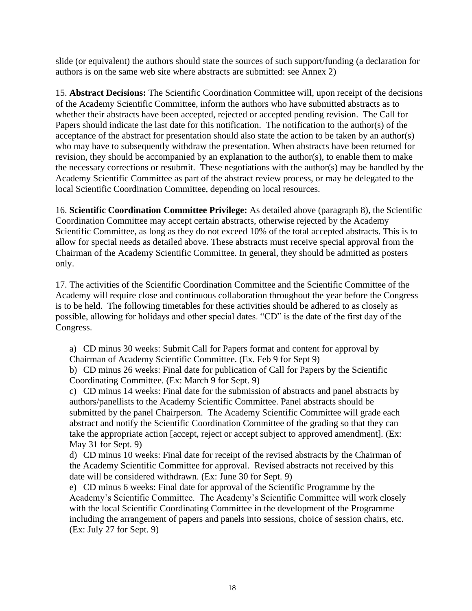slide (or equivalent) the authors should state the sources of such support/funding (a declaration for authors is on the same web site where abstracts are submitted: see Annex 2)

15. **Abstract Decisions:** The Scientific Coordination Committee will, upon receipt of the decisions of the Academy Scientific Committee, inform the authors who have submitted abstracts as to whether their abstracts have been accepted, rejected or accepted pending revision. The Call for Papers should indicate the last date for this notification. The notification to the author(s) of the acceptance of the abstract for presentation should also state the action to be taken by an author(s) who may have to subsequently withdraw the presentation. When abstracts have been returned for revision, they should be accompanied by an explanation to the author(s), to enable them to make the necessary corrections or resubmit. These negotiations with the author(s) may be handled by the Academy Scientific Committee as part of the abstract review process, or may be delegated to the local Scientific Coordination Committee, depending on local resources.

16. **Scientific Coordination Committee Privilege:** As detailed above (paragraph 8), the Scientific Coordination Committee may accept certain abstracts, otherwise rejected by the Academy Scientific Committee, as long as they do not exceed 10% of the total accepted abstracts. This is to allow for special needs as detailed above. These abstracts must receive special approval from the Chairman of the Academy Scientific Committee. In general, they should be admitted as posters only.

17. The activities of the Scientific Coordination Committee and the Scientific Committee of the Academy will require close and continuous collaboration throughout the year before the Congress is to be held. The following timetables for these activities should be adhered to as closely as possible, allowing for holidays and other special dates. "CD" is the date of the first day of the Congress.

a) CD minus 30 weeks: Submit Call for Papers format and content for approval by Chairman of Academy Scientific Committee. (Ex. Feb 9 for Sept 9)

b) CD minus 26 weeks: Final date for publication of Call for Papers by the Scientific Coordinating Committee. (Ex: March 9 for Sept. 9)

c) CD minus 14 weeks: Final date for the submission of abstracts and panel abstracts by authors/panellists to the Academy Scientific Committee. Panel abstracts should be submitted by the panel Chairperson. The Academy Scientific Committee will grade each abstract and notify the Scientific Coordination Committee of the grading so that they can take the appropriate action [accept, reject or accept subject to approved amendment]. (Ex: May 31 for Sept. 9)

d) CD minus 10 weeks: Final date for receipt of the revised abstracts by the Chairman of the Academy Scientific Committee for approval. Revised abstracts not received by this date will be considered withdrawn. (Ex: June 30 for Sept. 9)

e) CD minus 6 weeks: Final date for approval of the Scientific Programme by the Academy's Scientific Committee. The Academy's Scientific Committee will work closely with the local Scientific Coordinating Committee in the development of the Programme including the arrangement of papers and panels into sessions, choice of session chairs, etc. (Ex: July 27 for Sept. 9)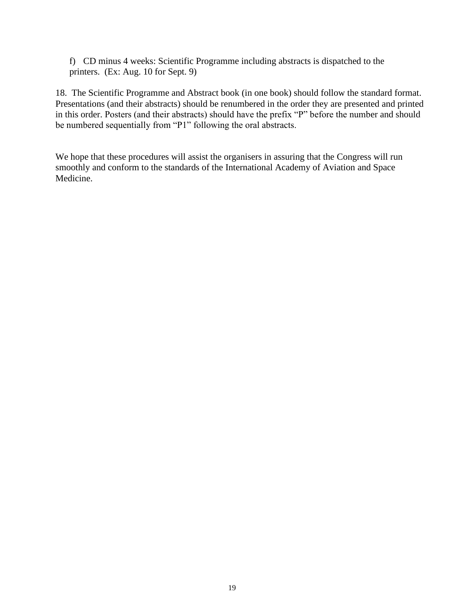f) CD minus 4 weeks: Scientific Programme including abstracts is dispatched to the printers. (Ex: Aug. 10 for Sept. 9)

18. The Scientific Programme and Abstract book (in one book) should follow the standard format. Presentations (and their abstracts) should be renumbered in the order they are presented and printed in this order. Posters (and their abstracts) should have the prefix "P" before the number and should be numbered sequentially from "P1" following the oral abstracts.

We hope that these procedures will assist the organisers in assuring that the Congress will run smoothly and conform to the standards of the International Academy of Aviation and Space Medicine.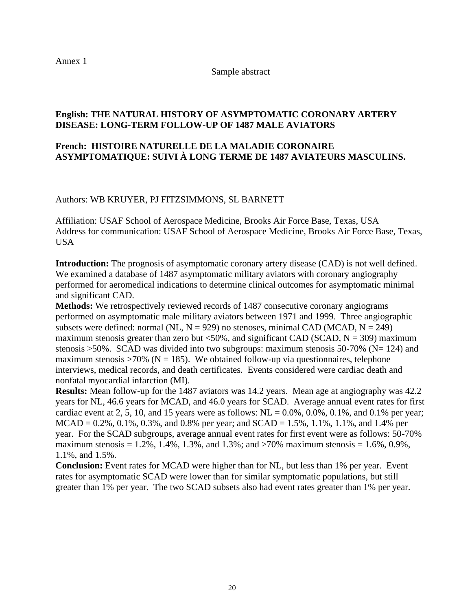Annex 1

Sample abstract

## **English: THE NATURAL HISTORY OF ASYMPTOMATIC CORONARY ARTERY DISEASE: LONG-TERM FOLLOW-UP OF 1487 MALE AVIATORS**

## **French: HISTOIRE NATURELLE DE LA MALADIE CORONAIRE ASYMPTOMATIQUE: SUIVI À LONG TERME DE 1487 AVIATEURS MASCULINS.**

Authors: WB KRUYER, PJ FITZSIMMONS, SL BARNETT

Affiliation: USAF School of Aerospace Medicine, Brooks Air Force Base, Texas, USA Address for communication: USAF School of Aerospace Medicine, Brooks Air Force Base, Texas, USA

**Introduction:** The prognosis of asymptomatic coronary artery disease (CAD) is not well defined. We examined a database of 1487 asymptomatic military aviators with coronary angiography performed for aeromedical indications to determine clinical outcomes for asymptomatic minimal and significant CAD.

**Methods:** We retrospectively reviewed records of 1487 consecutive coronary angiograms performed on asymptomatic male military aviators between 1971 and 1999. Three angiographic subsets were defined: normal (NL,  $N = 929$ ) no stenoses, minimal CAD (MCAD,  $N = 249$ ) maximum stenosis greater than zero but  $\langle 50\%$ , and significant CAD (SCAD, N = 309) maximum stenosis  $>50\%$ . SCAD was divided into two subgroups: maximum stenosis 50-70% (N= 124) and maximum stenosis  $>70\%$  (N = 185). We obtained follow-up via questionnaires, telephone interviews, medical records, and death certificates. Events considered were cardiac death and nonfatal myocardial infarction (MI).

**Results:** Mean follow-up for the 1487 aviators was 14.2 years. Mean age at angiography was 42.2 years for NL, 46.6 years for MCAD, and 46.0 years for SCAD. Average annual event rates for first cardiac event at 2, 5, 10, and 15 years were as follows:  $NL = 0.0\%$ , 0.0%, 0.1%, and 0.1% per year;  $MCAD = 0.2\%$ , 0.1%, 0.3%, and 0.8% per year; and  $SCAD = 1.5\%$ , 1.1%, 1.1%, and 1.4% per year. For the SCAD subgroups, average annual event rates for first event were as follows: 50-70% maximum stenosis =  $1.2\%$ ,  $1.4\%$ ,  $1.3\%$ , and  $1.3\%$ ; and  $>70\%$  maximum stenosis =  $1.6\%$ ,  $0.9\%$ , 1.1%, and 1.5%.

**Conclusion:** Event rates for MCAD were higher than for NL, but less than 1% per year. Event rates for asymptomatic SCAD were lower than for similar symptomatic populations, but still greater than 1% per year. The two SCAD subsets also had event rates greater than 1% per year.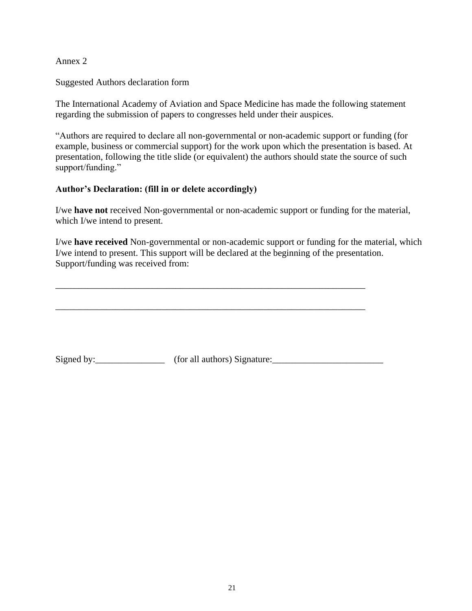Annex 2

Suggested Authors declaration form

The International Academy of Aviation and Space Medicine has made the following statement regarding the submission of papers to congresses held under their auspices.

"Authors are required to declare all non-governmental or non-academic support or funding (for example, business or commercial support) for the work upon which the presentation is based. At presentation, following the title slide (or equivalent) the authors should state the source of such support/funding."

## **Author's Declaration: (fill in or delete accordingly)**

I/we **have not** received Non-governmental or non-academic support or funding for the material, which I/we intend to present.

I/we **have received** Non-governmental or non-academic support or funding for the material, which I/we intend to present. This support will be declared at the beginning of the presentation. Support/funding was received from:

Signed by:\_\_\_\_\_\_\_\_\_\_\_\_\_\_\_ (for all authors) Signature:\_\_\_\_\_\_\_\_\_\_\_\_\_\_\_\_\_\_\_\_\_\_\_\_

\_\_\_\_\_\_\_\_\_\_\_\_\_\_\_\_\_\_\_\_\_\_\_\_\_\_\_\_\_\_\_\_\_\_\_\_\_\_\_\_\_\_\_\_\_\_\_\_\_\_\_\_\_\_\_\_\_\_\_\_\_\_\_\_\_\_\_

\_\_\_\_\_\_\_\_\_\_\_\_\_\_\_\_\_\_\_\_\_\_\_\_\_\_\_\_\_\_\_\_\_\_\_\_\_\_\_\_\_\_\_\_\_\_\_\_\_\_\_\_\_\_\_\_\_\_\_\_\_\_\_\_\_\_\_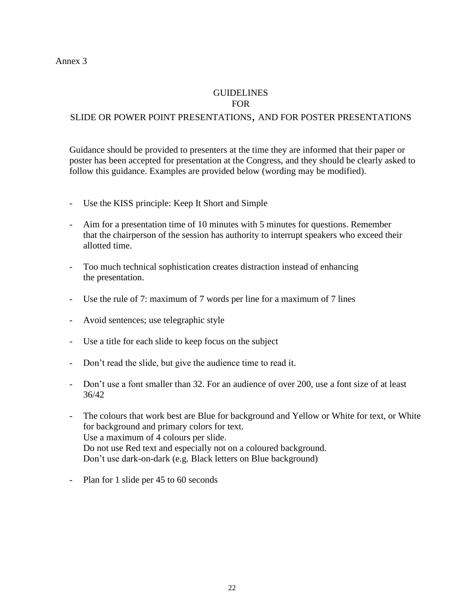#### **GUIDELINES** FOR

## SLIDE OR POWER POINT PRESENTATIONS, AND FOR POSTER PRESENTATIONS

Guidance should be provided to presenters at the time they are informed that their paper or poster has been accepted for presentation at the Congress, and they should be clearly asked to follow this guidance. Examples are provided below (wording may be modified).

- Use the KISS principle: Keep It Short and Simple
- Aim for a presentation time of 10 minutes with 5 minutes for questions. Remember that the chairperson of the session has authority to interrupt speakers who exceed their allotted time.
- Too much technical sophistication creates distraction instead of enhancing the presentation.
- Use the rule of 7: maximum of 7 words per line for a maximum of 7 lines
- Avoid sentences; use telegraphic style
- Use a title for each slide to keep focus on the subject
- Don't read the slide, but give the audience time to read it.
- Don't use a font smaller than 32. For an audience of over 200, use a font size of at least 36/42
- The colours that work best are Blue for background and Yellow or White for text, or White for background and primary colors for text. Use a maximum of 4 colours per slide. Do not use Red text and especially not on a coloured background. Don't use dark-on-dark (e.g. Black letters on Blue background)
- Plan for 1 slide per 45 to 60 seconds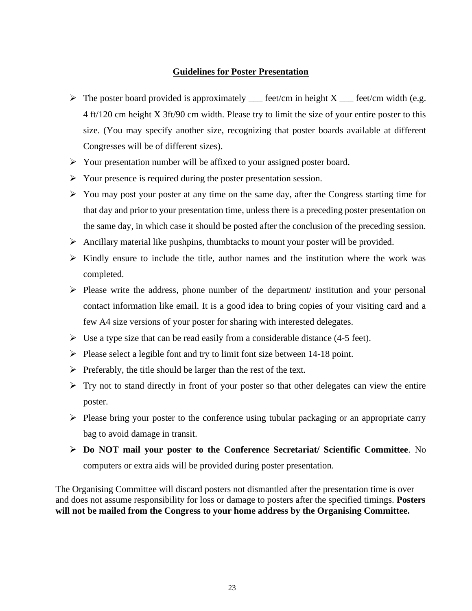#### **Guidelines for Poster Presentation**

- $\triangleright$  The poster board provided is approximately feet/cm in height X feet/cm width (e.g. 4 ft/120 cm height X 3ft/90 cm width. Please try to limit the size of your entire poster to this size. (You may specify another size, recognizing that poster boards available at different Congresses will be of different sizes).
- ➢ Your presentation number will be affixed to your assigned poster board.
- ➢ Your presence is required during the poster presentation session.
- $\triangleright$  You may post your poster at any time on the same day, after the Congress starting time for that day and prior to your presentation time, unless there is a preceding poster presentation on the same day, in which case it should be posted after the conclusion of the preceding session.
- $\triangleright$  Ancillary material like pushpins, thumbtacks to mount your poster will be provided.
- ➢ Kindly ensure to include the title, author names and the institution where the work was completed.
- ➢ Please write the address, phone number of the department/ institution and your personal contact information like email. It is a good idea to bring copies of your visiting card and a few A4 size versions of your poster for sharing with interested delegates.
- $\triangleright$  Use a type size that can be read easily from a considerable distance (4-5 feet).
- ➢ Please select a legible font and try to limit font size between 14-18 point.
- $\triangleright$  Preferably, the title should be larger than the rest of the text.
- $\triangleright$  Try not to stand directly in front of your poster so that other delegates can view the entire poster.
- ➢ Please bring your poster to the conference using tubular packaging or an appropriate carry bag to avoid damage in transit.
- ➢ **Do NOT mail your poster to the Conference Secretariat/ Scientific Committee**. No computers or extra aids will be provided during poster presentation.

The Organising Committee will discard posters not dismantled after the presentation time is over and does not assume responsibility for loss or damage to posters after the specified timings. **Posters will not be mailed from the Congress to your home address by the Organising Committee.**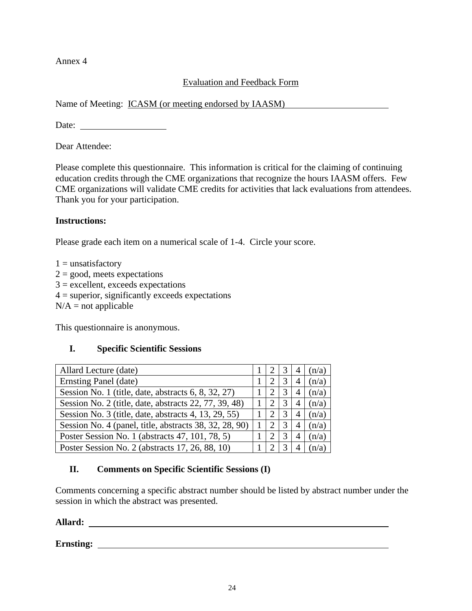Annex 4

## Evaluation and Feedback Form

Name of Meeting: ICASM (or meeting endorsed by IAASM)

Date:

Dear Attendee:

Please complete this questionnaire. This information is critical for the claiming of continuing education credits through the CME organizations that recognize the hours IAASM offers. Few CME organizations will validate CME credits for activities that lack evaluations from attendees. Thank you for your participation.

## **Instructions:**

Please grade each item on a numerical scale of 1-4. Circle your score.

 $1 =$ unsatisfactory  $2 = \text{good}$ , meets expectations  $3 =$  excellent, exceeds expectations  $4 =$  superior, significantly exceeds expectations  $N/A$  = not applicable

This questionnaire is anonymous.

## **I. Specific Scientific Sessions**

| Allard Lecture (date)                                  |  |   | (n/a) |
|--------------------------------------------------------|--|---|-------|
| Ernsting Panel (date)                                  |  | 4 | (n/a) |
| Session No. 1 (title, date, abstracts 6, 8, 32, 27)    |  | 4 | (n/a) |
| Session No. 2 (title, date, abstracts 22, 77, 39, 48)  |  | 4 | (n/a) |
| Session No. 3 (title, date, abstracts 4, 13, 29, 55)   |  | 4 | (n/a) |
| Session No. 4 (panel, title, abstracts 38, 32, 28, 90) |  | 4 | (n/a) |
| Poster Session No. 1 (abstracts 47, 101, 78, 5)        |  | 4 | (n/a) |
| Poster Session No. 2 (abstracts 17, 26, 88, 10)        |  |   |       |

## **II. Comments on Specific Scientific Sessions (I)**

Comments concerning a specific abstract number should be listed by abstract number under the session in which the abstract was presented.

**Allard:** 

**Ernsting:**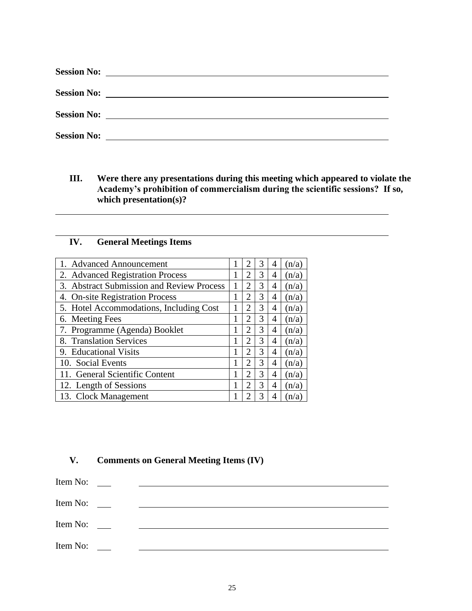| <b>Session No:</b> | the contract of the contract of the contract of the contract of the contract of the contract of                            |
|--------------------|----------------------------------------------------------------------------------------------------------------------------|
| <b>Session No:</b> | <u>and the contract of the contract of the contract of the contract of the contract of the contract of the contract of</u> |
|                    |                                                                                                                            |
| <b>Session No:</b> |                                                                                                                            |

**III. Were there any presentations during this meeting which appeared to violate the Academy's prohibition of commercialism during the scientific sessions? If so, which presentation(s)?**

## **IV. General Meetings Items**

| 1. Advanced Announcement                  |                             | 3 | 4 | (n/a) |
|-------------------------------------------|-----------------------------|---|---|-------|
| 2. Advanced Registration Process          | 2                           | 3 | 4 | (n/a) |
| 3. Abstract Submission and Review Process | $\mathcal{D}_{\mathcal{L}}$ | 3 | 4 | (n/a) |
| 4. On-site Registration Process           | 2                           | 3 | 4 | (n/a) |
| 5. Hotel Accommodations, Including Cost   | 2                           | 3 | 4 | (n/a) |
| 6. Meeting Fees                           | 2                           | 3 | 4 | (n/a) |
| 7. Programme (Agenda) Booklet             | 2                           | 3 | 4 | (n/a) |
| 8. Translation Services                   | 2                           | 3 | 4 | (n/a) |
| 9. Educational Visits                     | $\overline{2}$              | 3 | 4 | (n/a) |
| 10. Social Events                         | 2                           | 3 | 4 | (n/a) |
| 11. General Scientific Content            | 2                           | 3 | 4 | (n/a) |
| 12. Length of Sessions                    | 2                           | 3 | 4 | (n/a) |
| 13. Clock Management                      |                             | 3 | 4 | (n/a) |

## **V. Comments on General Meeting Items (IV)**

Item No: \_\_\_\_\_\_\_ Item No: Item No: \_\_\_\_\_ Item No: \_\_\_\_\_\_ <u> 1989 - Johann Barbara, martin amerikan basar dan basa dan basa dan basa dan basa dan basa dan basa dan basa</u>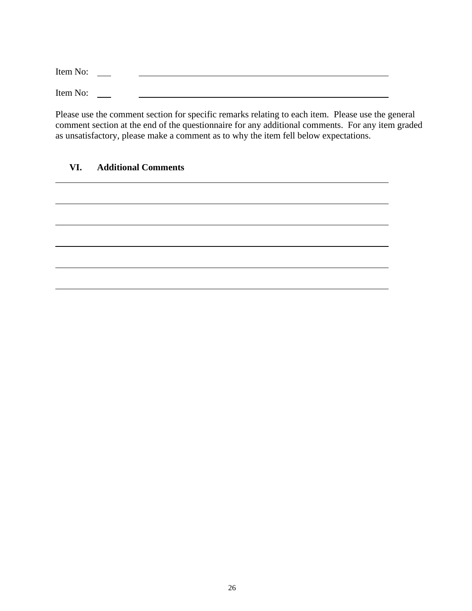Item No: \_\_\_\_\_ <u> 1989 - Johann Barbara, martin amerikan basal dan berasal dan berasal dalam basal dalam basal dalam basal dala</u> Item No: \_\_\_\_\_\_

Please use the comment section for specific remarks relating to each item. Please use the general comment section at the end of the questionnaire for any additional comments. For any item graded as unsatisfactory, please make a comment as to why the item fell below expectations.

## **VI. Additional Comments**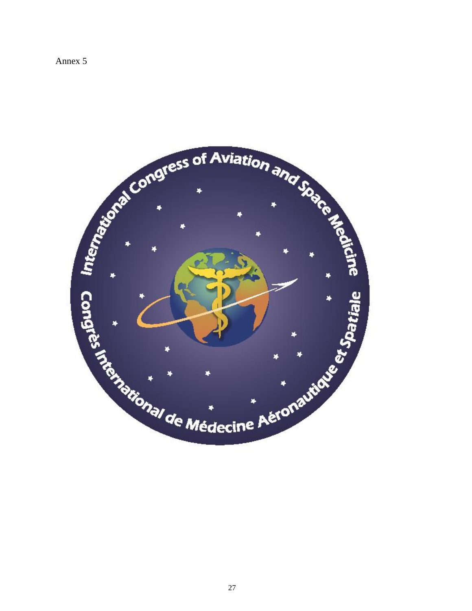Annex 5

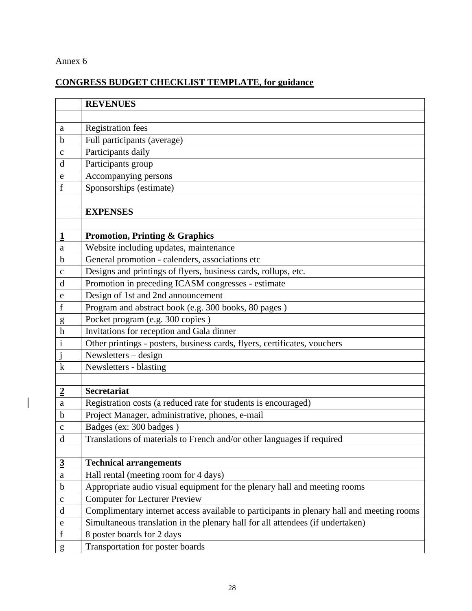## Annex 6

 $\begin{array}{c} \hline \end{array}$ 

## **CONGRESS BUDGET CHECKLIST TEMPLATE, for guidance**

|                | <b>REVENUES</b>                                                                           |
|----------------|-------------------------------------------------------------------------------------------|
|                |                                                                                           |
| a              | <b>Registration fees</b>                                                                  |
| $\mathbf b$    | Full participants (average)                                                               |
| $\mathbf C$    | Participants daily                                                                        |
| d              | Participants group                                                                        |
| e              | Accompanying persons                                                                      |
| f              | Sponsorships (estimate)                                                                   |
|                |                                                                                           |
|                | <b>EXPENSES</b>                                                                           |
|                |                                                                                           |
| $\overline{1}$ | <b>Promotion, Printing &amp; Graphics</b>                                                 |
| a              | Website including updates, maintenance                                                    |
| $\mathbf b$    | General promotion - calenders, associations etc                                           |
| $\mathbf{C}$   | Designs and printings of flyers, business cards, rollups, etc.                            |
| $\mathbf d$    | Promotion in preceding ICASM congresses - estimate                                        |
| e              | Design of 1st and 2nd announcement                                                        |
| $\mathbf f$    | Program and abstract book (e.g. 300 books, 80 pages)                                      |
| $\mathbf{g}$   | Pocket program (e.g. 300 copies)                                                          |
| h              | Invitations for reception and Gala dinner                                                 |
| $\mathbf{i}$   | Other printings - posters, business cards, flyers, certificates, vouchers                 |
|                | Newsletters - design                                                                      |
| $\mathbf k$    | Newsletters - blasting                                                                    |
|                |                                                                                           |
| $\overline{2}$ | <b>Secretariat</b>                                                                        |
| a              | Registration costs (a reduced rate for students is encouraged)                            |
| b              | Project Manager, administrative, phones, e-mail                                           |
| $\mathbf C$    | Badges (ex: 300 badges)                                                                   |
| $\mathbf{d}$   | Translations of materials to French and/or other languages if required                    |
|                |                                                                                           |
| $\overline{3}$ | <b>Technical arrangements</b>                                                             |
| $\rm{a}$       | Hall rental (meeting room for 4 days)                                                     |
| $\mathbf b$    | Appropriate audio visual equipment for the plenary hall and meeting rooms                 |
| $\mathbf C$    | <b>Computer for Lecturer Preview</b>                                                      |
| $\mathbf d$    | Complimentary internet access available to participants in plenary hall and meeting rooms |
| ${\rm e}$      | Simultaneous translation in the plenary hall for all attendees (if undertaken)            |
| $\mathbf f$    | 8 poster boards for 2 days                                                                |
| g              | Transportation for poster boards                                                          |